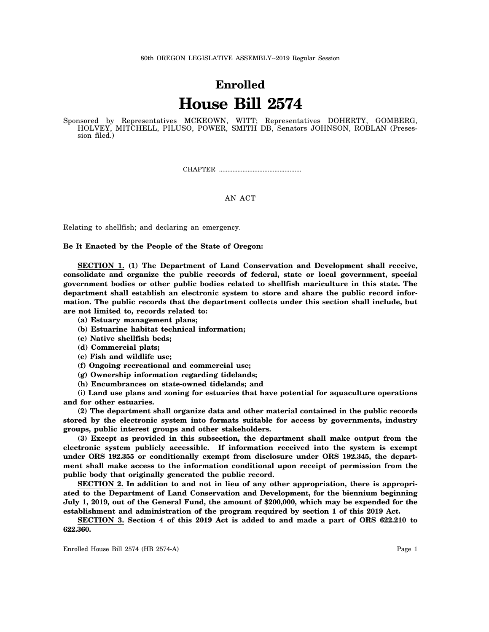## **Enrolled House Bill 2574**

Sponsored by Representatives MCKEOWN, WITT; Representatives DOHERTY, GOMBERG, HOLVEY, MITCHELL, PILUSO, POWER, SMITH DB, Senators JOHNSON, ROBLAN (Presession filed.)

CHAPTER .................................................

## AN ACT

Relating to shellfish; and declaring an emergency.

**Be It Enacted by the People of the State of Oregon:**

**SECTION 1. (1) The Department of Land Conservation and Development shall receive, consolidate and organize the public records of federal, state or local government, special government bodies or other public bodies related to shellfish mariculture in this state. The department shall establish an electronic system to store and share the public record information. The public records that the department collects under this section shall include, but are not limited to, records related to:**

**(a) Estuary management plans;**

**(b) Estuarine habitat technical information;**

**(c) Native shellfish beds;**

- **(d) Commercial plats;**
- **(e) Fish and wildlife use;**
- **(f) Ongoing recreational and commercial use;**
- **(g) Ownership information regarding tidelands;**
- **(h) Encumbrances on state-owned tidelands; and**

**(i) Land use plans and zoning for estuaries that have potential for aquaculture operations and for other estuaries.**

**(2) The department shall organize data and other material contained in the public records stored by the electronic system into formats suitable for access by governments, industry groups, public interest groups and other stakeholders.**

**(3) Except as provided in this subsection, the department shall make output from the electronic system publicly accessible. If information received into the system is exempt under ORS 192.355 or conditionally exempt from disclosure under ORS 192.345, the department shall make access to the information conditional upon receipt of permission from the public body that originally generated the public record.**

**SECTION 2. In addition to and not in lieu of any other appropriation, there is appropriated to the Department of Land Conservation and Development, for the biennium beginning July 1, 2019, out of the General Fund, the amount of \$200,000, which may be expended for the establishment and administration of the program required by section 1 of this 2019 Act.**

**SECTION 3. Section 4 of this 2019 Act is added to and made a part of ORS 622.210 to 622.360.**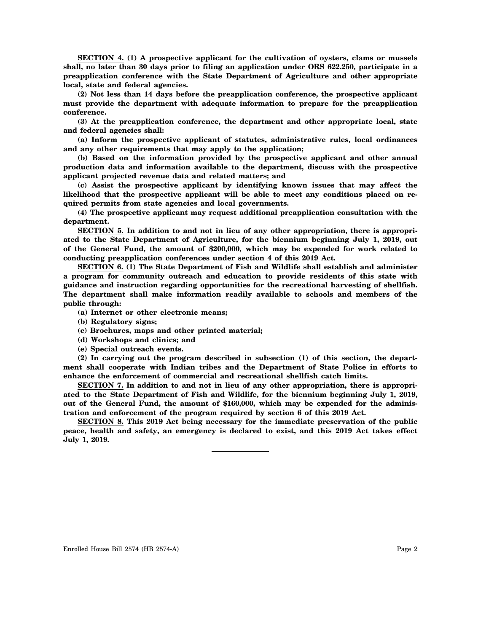**SECTION 4. (1) A prospective applicant for the cultivation of oysters, clams or mussels shall, no later than 30 days prior to filing an application under ORS 622.250, participate in a preapplication conference with the State Department of Agriculture and other appropriate local, state and federal agencies.**

**(2) Not less than 14 days before the preapplication conference, the prospective applicant must provide the department with adequate information to prepare for the preapplication conference.**

**(3) At the preapplication conference, the department and other appropriate local, state and federal agencies shall:**

**(a) Inform the prospective applicant of statutes, administrative rules, local ordinances and any other requirements that may apply to the application;**

**(b) Based on the information provided by the prospective applicant and other annual production data and information available to the department, discuss with the prospective applicant projected revenue data and related matters; and**

**(c) Assist the prospective applicant by identifying known issues that may affect the likelihood that the prospective applicant will be able to meet any conditions placed on required permits from state agencies and local governments.**

**(4) The prospective applicant may request additional preapplication consultation with the department.**

**SECTION 5. In addition to and not in lieu of any other appropriation, there is appropriated to the State Department of Agriculture, for the biennium beginning July 1, 2019, out of the General Fund, the amount of \$200,000, which may be expended for work related to conducting preapplication conferences under section 4 of this 2019 Act.**

**SECTION 6. (1) The State Department of Fish and Wildlife shall establish and administer a program for community outreach and education to provide residents of this state with guidance and instruction regarding opportunities for the recreational harvesting of shellfish. The department shall make information readily available to schools and members of the public through:**

- **(a) Internet or other electronic means;**
- **(b) Regulatory signs;**
- **(c) Brochures, maps and other printed material;**
- **(d) Workshops and clinics; and**
- **(e) Special outreach events.**

**(2) In carrying out the program described in subsection (1) of this section, the department shall cooperate with Indian tribes and the Department of State Police in efforts to enhance the enforcement of commercial and recreational shellfish catch limits.**

**SECTION 7. In addition to and not in lieu of any other appropriation, there is appropriated to the State Department of Fish and Wildlife, for the biennium beginning July 1, 2019, out of the General Fund, the amount of \$160,000, which may be expended for the administration and enforcement of the program required by section 6 of this 2019 Act.**

**SECTION 8. This 2019 Act being necessary for the immediate preservation of the public peace, health and safety, an emergency is declared to exist, and this 2019 Act takes effect July 1, 2019.**